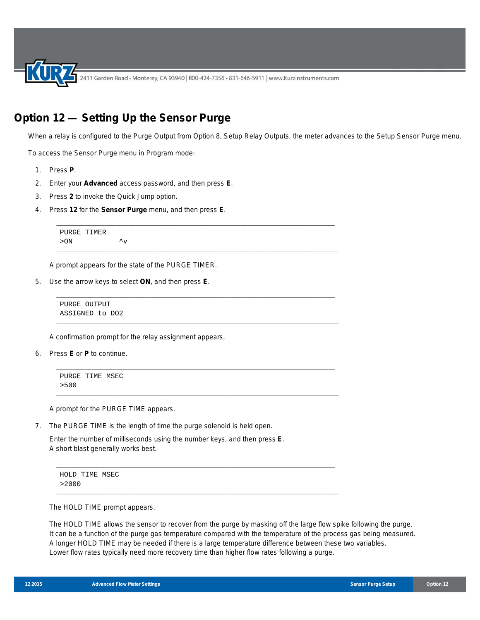2411 Garden Road • Monterey, CA 93940 | 800-424-7356 • 831-646-5911 | www.KurzInstruments.com

\_\_\_\_\_\_\_\_\_\_\_\_\_\_\_\_\_\_\_\_\_\_\_\_\_\_\_\_\_\_\_\_\_\_\_\_\_\_\_\_\_\_\_\_\_\_\_\_\_\_\_\_\_\_\_\_\_\_\_\_\_\_\_\_\_\_\_\_\_\_\_\_\_\_

\_\_\_\_\_\_\_\_\_\_\_\_\_\_\_\_\_\_\_\_\_\_\_\_\_\_\_\_\_\_\_\_\_\_\_\_\_\_\_\_\_\_\_\_\_\_\_\_\_\_\_\_\_\_\_\_\_\_\_\_\_\_\_\_\_\_\_\_\_\_\_\_\_\_\_

\_\_\_\_\_\_\_\_\_\_\_\_\_\_\_\_\_\_\_\_\_\_\_\_\_\_\_\_\_\_\_\_\_\_\_\_\_\_\_\_\_\_\_\_\_\_\_\_\_\_\_\_\_\_\_\_\_\_\_\_\_\_\_\_\_\_\_\_\_\_\_\_\_\_

\_\_\_\_\_\_\_\_\_\_\_\_\_\_\_\_\_\_\_\_\_\_\_\_\_\_\_\_\_\_\_\_\_\_\_\_\_\_\_\_\_\_\_\_\_\_\_\_\_\_\_\_\_\_\_\_\_\_\_\_\_\_\_\_\_\_\_\_\_\_\_\_\_\_\_

\_\_\_\_\_\_\_\_\_\_\_\_\_\_\_\_\_\_\_\_\_\_\_\_\_\_\_\_\_\_\_\_\_\_\_\_\_\_\_\_\_\_\_\_\_\_\_\_\_\_\_\_\_\_\_\_\_\_\_\_\_\_\_\_\_\_\_\_\_\_\_\_\_\_

\_\_\_\_\_\_\_\_\_\_\_\_\_\_\_\_\_\_\_\_\_\_\_\_\_\_\_\_\_\_\_\_\_\_\_\_\_\_\_\_\_\_\_\_\_\_\_\_\_\_\_\_\_\_\_\_\_\_\_\_\_\_\_\_\_\_\_\_\_\_\_\_\_\_\_

\_\_\_\_\_\_\_\_\_\_\_\_\_\_\_\_\_\_\_\_\_\_\_\_\_\_\_\_\_\_\_\_\_\_\_\_\_\_\_\_\_\_\_\_\_\_\_\_\_\_\_\_\_\_\_\_\_\_\_\_\_\_\_\_\_\_\_\_\_\_\_\_\_\_

\_\_\_\_\_\_\_\_\_\_\_\_\_\_\_\_\_\_\_\_\_\_\_\_\_\_\_\_\_\_\_\_\_\_\_\_\_\_\_\_\_\_\_\_\_\_\_\_\_\_\_\_\_\_\_\_\_\_\_\_\_\_\_\_\_\_\_\_\_\_\_\_\_\_\_

## **Option 12 — Setting Up the Sensor Purge**

When a relay is configured to the Purge Output from Option 8, Setup Relay Outputs, the meter advances to the Setup Sensor Purge menu.

To access the Sensor Purge menu in Program mode:

- 1. Press **P**.
- 2. Enter your **Advanced** access password, and then press **E**.
- 3. Press **2** to invoke the Quick Jump option.
- 4. Press **12** for the **Sensor Purge** menu, and then press **E**.

```
PURGE TIMER
> ON \hspace{1.5cm} \sim V
```
A prompt appears for the state of the PURGE TIMER.

5. Use the arrow keys to select **ON**, and then press **E**.

PURGE OUTPUT ASSIGNED to DO2

A confirmation prompt for the relay assignment appears.

6. Press **E** or **P** to continue.

```
PURGE TIME MSEC
>500
```
A prompt for the PURGE TIME appears.

7. The PURGE TIME is the length of time the purge solenoid is held open.

Enter the number of milliseconds using the number keys, and then press **E**. A short blast generally works best.

```
HOLD TIME MSEC
>2000
```
The HOLD TIME prompt appears.

The HOLD TIME allows the sensor to recover from the purge by masking off the large flow spike following the purge. It can be a function of the purge gas temperature compared with the temperature of the process gas being measured. A longer HOLD TIME may be needed if there is a large temperature difference between these two variables. Lower flow rates typically need more recovery time than higher flow rates following a purge.